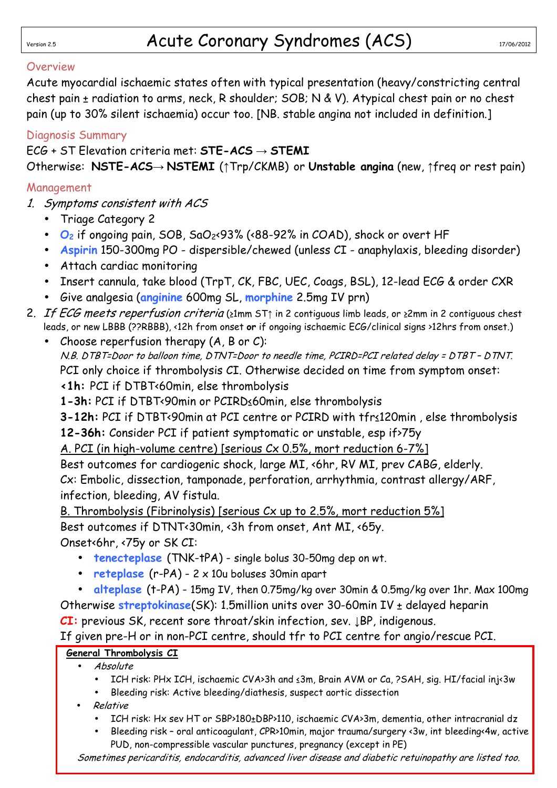#### **Overview**

Acute myocardial ischaemic states often with typical presentation (heavy/constricting central chest pain ± radiation to arms, neck, R shoulder; SOB; N & V). Atypical chest pain or no chest pain (up to 30% silent ischaemia) occur too. [NB. stable angina not included in definition.]

#### Diagnosis Summary

#### ECG + ST Elevation criteria met: **STE-ACS** → **STEMI**

Otherwise: **NSTE-ACS**→ **NSTEMI** (↑Trp/CKMB) or **Unstable angina** (new, ↑freq or rest pain)

#### Management

- 1. Symptoms consistent with ACS
	- Triage Category 2
	- **O2** if ongoing pain, SOB, SaO2<93% (<88-92% in COAD), shock or overt HF
	- **Aspirin** 150-300mg PO dispersible/chewed (unless CI anaphylaxis, bleeding disorder)
	- Attach cardiac monitoring
	- Insert cannula, take blood (TrpT, CK, FBC, UEC, Coags, BSL), 12-lead ECG & order CXR
	- Give analgesia (**anginine** 600mg SL, **morphine** 2.5mg IV prn)
- 2. If ECG meets reperfusion criteria (≥1mm ST† in 2 contiguous limb leads, or ≥2mm in 2 contiguous chest leads, or new LBBB (??RBBB), <12h from onset **or** if ongoing ischaemic ECG/clinical signs >12hrs from onset.)
	- Choose reperfusion therapy  $(A, B \text{ or } C)$ : N.B. DTBT=Door to balloon time, DTNT=Door to needle time, PCIRD=PCI related delay = DTBT – DTNT. PCI only choice if thrombolysis CI. Otherwise decided on time from symptom onset: **<1h:** PCI if DTBT<60min, else thrombolysis
		- **1-3h:** PCI if DTBT<90min or PCIRD≤60min, else thrombolysis

**3-12h:** PCI if DTBT<90min at PCI centre or PCIRD with tfr≤120min, else thrombolysis **12-36h:** Consider PCI if patient symptomatic or unstable, esp if>75y

A. PCI (in high-volume centre) [serious Cx 0.5%, mort reduction 6-7%]

Best outcomes for cardiogenic shock, large MI, <6hr, RV MI, prev CABG, elderly. Cx: Embolic, dissection, tamponade, perforation, arrhythmia, contrast allergy/ARF, infection, bleeding, AV fistula.

B. Thrombolysis (Fibrinolysis) [serious Cx up to 2.5%, mort reduction 5%] Best outcomes if DTNT<30min, <3h from onset, Ant MI, <65y. Onset<6hr, <75y or SK CI:

- **tenecteplase** (TNK-tPA) single bolus 30-50mg dep on wt.
- **reteplase** (r-PA) 2 x 10u boluses 30min apart
- **alteplase** (t-PA) 15mg IV, then 0.75mg/kg over 30min & 0.5mg/kg over 1hr. Max 100mg Otherwise **streptokinase**(SK): 1.5million units over 30-60min IV ± delayed heparin

**CI:** previous SK, recent sore throat/skin infection, sev. ↓BP, indigenous.

If given pre-H or in non-PCI centre, should tfr to PCI centre for angio/rescue PCI.

## **General Thrombolysis CI**

- Absolute
	- ICH risk: PHx ICH, ischaemic CVA>3h and ≤3m, Brain AVM or Ca, ?SAH, sig. HI/facial inj<3w
	- Bleeding risk: Active bleeding/diathesis, suspect aortic dissection
- Relative
	- ICH risk: Hx sev HT or SBP>180±DBP>110, ischaemic CVA>3m, dementia, other intracranial dz
	- Bleeding risk oral anticoagulant, CPR>10min, major trauma/surgery <3w, int bleeding<4w, active PUD, non-compressible vascular punctures, pregnancy (except in PE)

Sometimes pericarditis, endocarditis, advanced liver disease and diabetic retuinopathy are listed too.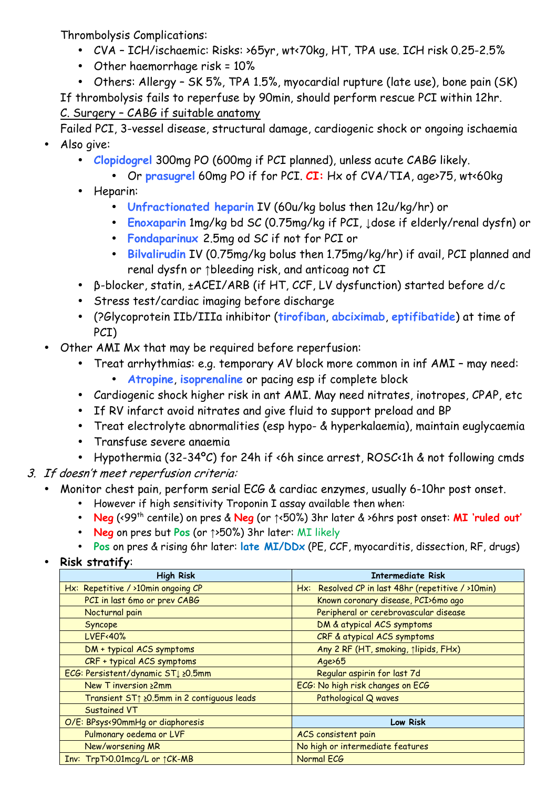Thrombolysis Complications:

- CVA ICH/ischaemic: Risks: >65yr, wt<70kg, HT, TPA use. ICH risk 0.25-2.5%
- Other haemorrhage risk = 10%
- Others: Allergy SK 5%, TPA 1.5%, myocardial rupture (late use), bone pain (SK)

If thrombolysis fails to reperfuse by 90min, should perform rescue PCI within 12hr.

C. Surgery – CABG if suitable anatomy

 Failed PCI, 3-vessel disease, structural damage, cardiogenic shock or ongoing ischaemia • Also give:

- **Clopidogrel** 300mg PO (600mg if PCI planned), unless acute CABG likely.
	- Or **prasugrel** 60mg PO if for PCI. **CI:** Hx of CVA/TIA, age>75, wt<60kg
- Heparin:
	- **Unfractionated heparin** IV (60u/kg bolus then 12u/kg/hr) or
	- **Enoxaparin** 1mg/kg bd SC (0.75mg/kg if PCI, ↓dose if elderly/renal dysfn) or
	- **Fondaparinux** 2.5mg od SC if not for PCI or
	- **Bilvalirudin** IV (0.75mg/kg bolus then 1.75mg/kg/hr) if avail, PCI planned and renal dysfn or ↑bleeding risk, and anticoag not CI
- β-blocker, statin, ±ACEI/ARB (if HT, CCF, LV dysfunction) started before d/c
- Stress test/cardiac imaging before discharge
- (?Glycoprotein IIb/IIIa inhibitor (**tirofiban**, **abciximab**, **eptifibatide**) at time of PCI)
- Other AMI Mx that may be required before reperfusion:
	- Treat arrhythmias: e.g. temporary AV block more common in inf AMI may need:
		- **Atropine**, **isoprenaline** or pacing esp if complete block
	- Cardiogenic shock higher risk in ant AMI. May need nitrates, inotropes, CPAP, etc
	- If RV infarct avoid nitrates and give fluid to support preload and BP
	- Treat electrolyte abnormalities (esp hypo- & hyperkalaemia), maintain euglycaemia
	- Transfuse severe anaemia
	- Hypothermia (32-34ºC) for 24h if <6h since arrest, ROSC<1h & not following cmds
- 3. If doesn't meet reperfusion criteria:
	- Monitor chest pain, perform serial ECG & cardiac enzymes, usually 6-10hr post onset.
		- However if high sensitivity Troponin I assay available then when:
		- **Neg** (<99th centile) on pres & **Neg** (or ↑<50%) 3hr later & >6hrs post onset: **MI 'ruled out'**
		- **Neg** on pres but **Pos** (or ↑>50%) 3hr later: MI likely
		- **Pos** on pres & rising 6hr later: **late MI/DDx** (PE, CCF, myocarditis, dissection, RF, drugs)
	- **Risk stratify**:

| <b>High Risk</b>                           | <b>Intermediate Risk</b>                           |
|--------------------------------------------|----------------------------------------------------|
| Hx: Repetitive / >10min ongoing CP         | Hx: Resolved CP in last 48hr (repetitive / >10min) |
| PCI in last 6mo or prev CABG               | Known coronary disease, PCI>6mo ago                |
| Nocturnal pain                             | Peripheral or cerebrovascular disease              |
| Syncope                                    | DM & atypical ACS symptoms                         |
| <b>LVEF</b> <40%                           | CRF & atypical ACS symptoms                        |
| DM + typical ACS symptoms                  | Any 2 RF (HT, smoking, 1lipids, FHx)               |
| CRF + typical ACS symptoms                 | $Age \ge 65$                                       |
| ECG: Persistent/dynamic ST↓ ≥0.5mm         | Regular aspirin for last 7d                        |
| New T inversion ≥2mm                       | ECG: No high risk changes on ECG                   |
| Transient ST1 20.5mm in 2 contiguous leads | Pathological Q waves                               |
| <b>Sustained VT</b>                        |                                                    |
| O/E: BPsys<90mmHg or diaphoresis           | <b>Low Risk</b>                                    |
| Pulmonary oedema or LVF                    | ACS consistent pain                                |
| New/worsening MR                           | No high or intermediate features                   |
| Inv: TrpT>0.01mcg/L or ↑ CK-MB             | Normal ECG                                         |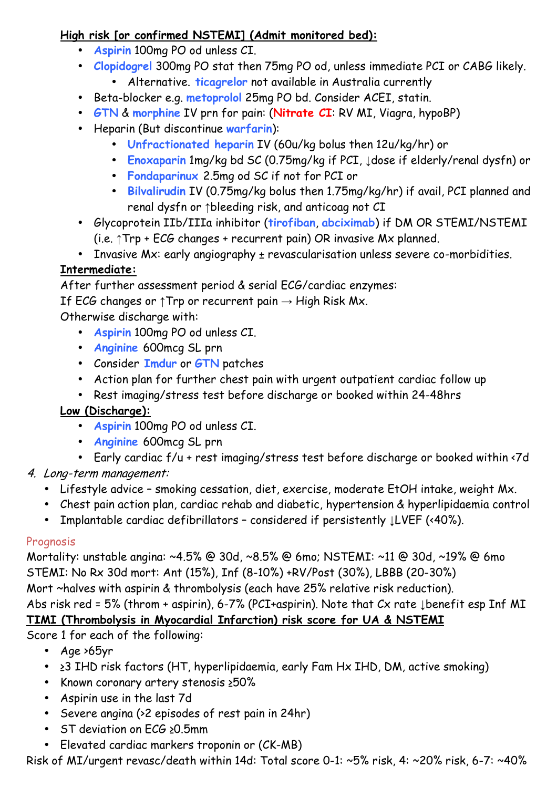#### **High risk [or confirmed NSTEMI] (Admit monitored bed):**

- **Aspirin** 100mg PO od unless CI.
- **Clopidogrel** 300mg PO stat then 75mg PO od, unless immediate PCI or CABG likely.
	- Alternative. **ticagrelor** not available in Australia currently
- Beta-blocker e.g. **metoprolol** 25mg PO bd. Consider ACEI, statin.
- **GTN** & **morphine** IV prn for pain: (**Nitrate CI**: RV MI, Viagra, hypoBP)
- Heparin (But discontinue **warfarin**):
	- **Unfractionated heparin** IV (60u/kg bolus then 12u/kg/hr) or
	- **Enoxaparin** 1mg/kg bd SC (0.75mg/kg if PCI, ↓dose if elderly/renal dysfn) or
	- **Fondaparinux** 2.5mg od SC if not for PCI or
	- **Bilvalirudin** IV (0.75mg/kg bolus then 1.75mg/kg/hr) if avail, PCI planned and renal dysfn or ↑bleeding risk, and anticoag not CI
- Glycoprotein IIb/IIIa inhibitor (**tirofiban**, **abciximab**) if DM OR STEMI/NSTEMI (i.e. ↑Trp + ECG changes + recurrent pain) OR invasive Mx planned.
- Invasive Mx: early angiography ± revascularisation unless severe co-morbidities.

# **Intermediate:**

After further assessment period & serial ECG/cardiac enzymes:

If ECG changes or  $\uparrow$ Trp or recurrent pain  $\rightarrow$  High Risk Mx.

Otherwise discharge with:

- **Aspirin** 100mg PO od unless CI.
- **Anginine** 600mcg SL prn
- Consider **Imdur** or **GTN** patches
- Action plan for further chest pain with urgent outpatient cardiac follow up
- Rest imaging/stress test before discharge or booked within 24-48hrs

## **Low (Discharge):**

- **Aspirin** 100mg PO od unless CI.
- **Anginine** 600mcg SL prn
- Early cardiac f/u + rest imaging/stress test before discharge or booked within <7d
- 4. Long-term management:
	- Lifestyle advice smoking cessation, diet, exercise, moderate EtOH intake, weight Mx.
	- Chest pain action plan, cardiac rehab and diabetic, hypertension & hyperlipidaemia control
	- Implantable cardiac defibrillators considered if persistently ↓LVEF (<40%).

## Prognosis

Mortality: unstable angina: ~4.5% @ 30d, ~8.5% @ 6mo; NSTEMI: ~11 @ 30d, ~19% @ 6mo STEMI: No Rx 30d mort: Ant (15%), Inf (8-10%) +RV/Post (30%), LBBB (20-30%) Mort ~halves with aspirin & thrombolysis (each have 25% relative risk reduction). Abs risk red = 5% (throm + aspirin), 6-7% (PCI+aspirin). Note that Cx rate ↓benefit esp Inf MI

# **TIMI (Thrombolysis in Myocardial Infarction) risk score for UA & NSTEMI**

Score 1 for each of the following:

- Age >65yr
- ≥3 IHD risk factors (HT, hyperlipidaemia, early Fam Hx IHD, DM, active smoking)
- Known coronary artery stenosis ≥50%
- Aspirin use in the last 7d
- Severe angina (>2 episodes of rest pain in 24hr)
- ST deviation on ECG ≥0.5mm
- Elevated cardiac markers troponin or (CK-MB)

Risk of MI/urgent revasc/death within 14d: Total score 0-1: ~5% risk, 4: ~20% risk, 6-7: ~40%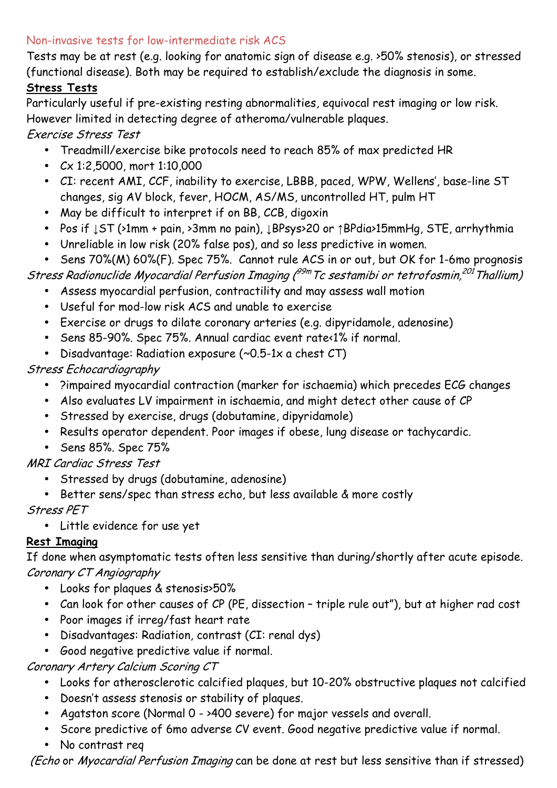#### Non-invasive tests for low-intermediate risk ACS

Tests may be at rest (e.g. looking for anatomic sign of disease e.g. >50% stenosis), or stressed (functional disease). Both may be required to establish/exclude the diagnosis in some.

#### **Stress Tests**

Particularly useful if pre-existing resting abnormalities, equivocal rest imaging or low risk. However limited in detecting degree of atheroma/vulnerable plaques.

Exercise Stress Test

- Treadmill/exercise bike protocols need to reach 85% of max predicted HR
- Cx 1:2,5000, mort 1:10,000
- CI: recent AMI, CCF, inability to exercise, LBBB, paced, WPW, Wellens', base-line ST changes, sig AV block, fever, HOCM, AS/MS, uncontrolled HT, pulm HT
- May be difficult to interpret if on BB, CCB, digoxin
- Pos if ↓ST (>1mm + pain, >3mm no pain), ↓BPsys>20 or ↑BPdia>15mmHg, STE, arrhythmia
- Unreliable in low risk (20% false pos), and so less predictive in women.
- Sens 70%(M) 60%(F). Spec 75%. Cannot rule ACS in or out, but OK for 1-6mo prognosis

Stress Radionuclide Myocardial Perfusion Imaging (<sup>99m</sup>Tc sestamibi or tetrofosmin,<sup>201</sup>Thallium)

- Assess myocardial perfusion, contractility and may assess wall motion
- Useful for mod-low risk ACS and unable to exercise
- Exercise or drugs to dilate coronary arteries (e.g. dipyridamole, adenosine)
- Sens 85-90%. Spec 75%. Annual cardiac event rate<1% if normal.
- Disadvantage: Radiation exposure (~0.5-1x a chest CT)

Stress Echocardiography

- ?impaired myocardial contraction (marker for ischaemia) which precedes ECG changes
- Also evaluates LV impairment in ischaemia, and might detect other cause of CP
- Stressed by exercise, drugs (dobutamine, dipyridamole)
- Results operator dependent. Poor images if obese, lung disease or tachycardic.
- Sens 85%. Spec 75%

MRI Cardiac Stress Test

- Stressed by drugs (dobutamine, adenosine)
- Better sens/spec than stress echo, but less available & more costly

Stress PET

• Little evidence for use yet

## **Rest Imaging**

If done when asymptomatic tests often less sensitive than during/shortly after acute episode. Coronary CT Angiography

- Looks for plaques & stenosis>50%
- Can look for other causes of CP (PE, dissection triple rule out"), but at higher rad cost
- Poor images if irreg/fast heart rate
- Disadvantages: Radiation, contrast (CI: renal dys)
- Good negative predictive value if normal.

Coronary Artery Calcium Scoring CT

- Looks for atherosclerotic calcified plaques, but 10-20% obstructive plaques not calcified
- Doesn't assess stenosis or stability of plaques.
- Agatston score (Normal 0 >400 severe) for major vessels and overall.
- Score predictive of 6mo adverse CV event. Good negative predictive value if normal.
- No contrast req

(Echo or Myocardial Perfusion Imaging can be done at rest but less sensitive than if stressed)